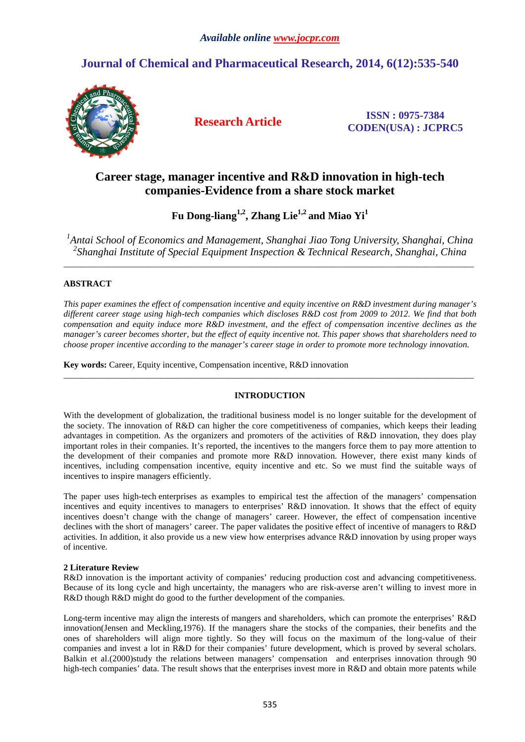# **Journal of Chemical and Pharmaceutical Research, 2014, 6(12):535-540**



**Research Article ISSN : 0975-7384 CODEN(USA) : JCPRC5**

# **Career stage, manager incentive and R&D innovation in high-tech companies-Evidence from a share stock market**

**Fu Dong-liang1,2, Zhang Lie1,2 and Miao Yi<sup>1</sup>**

<sup>1</sup> Antai School of Economics and Management, Shanghai Jiao Tong University, Shanghai, China *2 Shanghai Institute of Special Equipment Inspection & Technical Research, Shanghai, China*  \_\_\_\_\_\_\_\_\_\_\_\_\_\_\_\_\_\_\_\_\_\_\_\_\_\_\_\_\_\_\_\_\_\_\_\_\_\_\_\_\_\_\_\_\_\_\_\_\_\_\_\_\_\_\_\_\_\_\_\_\_\_\_\_\_\_\_\_\_\_\_\_\_\_\_\_\_\_\_\_\_\_\_\_\_\_\_\_\_\_\_\_\_

# **ABSTRACT**

*This paper examines the effect of compensation incentive and equity incentive on R&D investment during manager's different career stage using high-tech companies which discloses R&D cost from 2009 to 2012. We find that both compensation and equity induce more R&D investment, and the effect of compensation incentive declines as the manager's career becomes shorter, but the effect of equity incentive not. This paper shows that shareholders need to choose proper incentive according to the manager's career stage in order to promote more technology innovation.* 

**Key words:** Career, Equity incentive, Compensation incentive, R&D innovation

## **INTRODUCTION**

\_\_\_\_\_\_\_\_\_\_\_\_\_\_\_\_\_\_\_\_\_\_\_\_\_\_\_\_\_\_\_\_\_\_\_\_\_\_\_\_\_\_\_\_\_\_\_\_\_\_\_\_\_\_\_\_\_\_\_\_\_\_\_\_\_\_\_\_\_\_\_\_\_\_\_\_\_\_\_\_\_\_\_\_\_\_\_\_\_\_\_\_\_

With the development of globalization, the traditional business model is no longer suitable for the development of the society. The innovation of R&D can higher the core competitiveness of companies, which keeps their leading advantages in competition. As the organizers and promoters of the activities of R&D innovation, they does play important roles in their companies. It's reported, the incentives to the mangers force them to pay more attention to the development of their companies and promote more R&D innovation. However, there exist many kinds of incentives, including compensation incentive, equity incentive and etc. So we must find the suitable ways of incentives to inspire managers efficiently.

The paper uses high-tech enterprises as examples to empirical test the affection of the managers' compensation incentives and equity incentives to managers to enterprises' R&D innovation. It shows that the effect of equity incentives doesn't change with the change of managers' career. However, the effect of compensation incentive declines with the short of managers' career. The paper validates the positive effect of incentive of managers to R&D activities. In addition, it also provide us a new view how enterprises advance R&D innovation by using proper ways of incentive.

## **2 Literature Review**

R&D innovation is the important activity of companies' reducing production cost and advancing competitiveness. Because of its long cycle and high uncertainty, the managers who are risk-averse aren't willing to invest more in R&D though R&D might do good to the further development of the companies.

Long-term incentive may align the interests of mangers and shareholders, which can promote the enterprises' R&D innovation(Jensen and Meckling,1976). If the managers share the stocks of the companies, their benefits and the ones of shareholders will align more tightly. So they will focus on the maximum of the long-value of their companies and invest a lot in R&D for their companies' future development, which is proved by several scholars. Balkin et al.(2000)study the relations between managers' compensation and enterprises innovation through 90 high-tech companies' data. The result shows that the enterprises invest more in R&D and obtain more patents while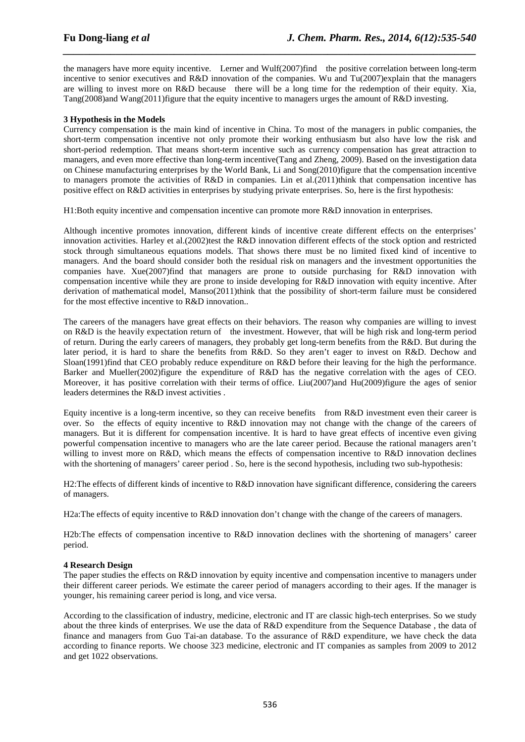the managers have more equity incentive. Lerner and Wulf(2007)find the positive correlation between long-term incentive to senior executives and R&D innovation of the companies. Wu and  $Tu(2007)$ explain that the managers are willing to invest more on R&D because there will be a long time for the redemption of their equity. Xia, Tang(2008)and Wang(2011)figure that the equity incentive to managers urges the amount of R&D investing.

*\_\_\_\_\_\_\_\_\_\_\_\_\_\_\_\_\_\_\_\_\_\_\_\_\_\_\_\_\_\_\_\_\_\_\_\_\_\_\_\_\_\_\_\_\_\_\_\_\_\_\_\_\_\_\_\_\_\_\_\_\_\_\_\_\_\_\_\_\_\_\_\_\_\_\_\_\_\_*

## **3 Hypothesis in the Models**

Currency compensation is the main kind of incentive in China. To most of the managers in public companies, the short-term compensation incentive not only promote their working enthusiasm but also have low the risk and short-period redemption. That means short-term incentive such as currency compensation has great attraction to managers, and even more effective than long-term incentive(Tang and Zheng, 2009). Based on the investigation data on Chinese manufacturing enterprises by the World Bank, Li and Song(2010)figure that the compensation incentive to managers promote the activities of R&D in companies. Lin et al.(2011)think that compensation incentive has positive effect on R&D activities in enterprises by studying private enterprises. So, here is the first hypothesis:

H1:Both equity incentive and compensation incentive can promote more R&D innovation in enterprises.

Although incentive promotes innovation, different kinds of incentive create different effects on the enterprises' innovation activities. Harley et al.(2002)test the  $R&D$  innovation different effects of the stock option and restricted stock through simultaneous equations models. That shows there must be no limited fixed kind of incentive to managers. And the board should consider both the residual risk on managers and the investment opportunities the companies have. Xue(2007)find that managers are prone to outside purchasing for R&D innovation with compensation incentive while they are prone to inside developing for R&D innovation with equity incentive. After derivation of mathematical model, Manso(2011)think that the possibility of short-term failure must be considered for the most effective incentive to R&D innovation..

The careers of the managers have great effects on their behaviors. The reason why companies are willing to invest on R&D is the heavily expectation return of the investment. However, that will be high risk and long-term period of return. During the early careers of managers, they probably get long-term benefits from the R&D. But during the later period, it is hard to share the benefits from R&D. So they aren't eager to invest on R&D. Dechow and Sloan(1991)find that CEO probably reduce expenditure on R&D before their leaving for the high the performance. Barker and Mueller(2002)figure the expenditure of R&D has the negative correlation with the ages of CEO. Moreover, it has positive correlation with their terms of office. Liu(2007)and Hu(2009)figure the ages of senior leaders determines the R&D invest activities .

Equity incentive is a long-term incentive, so they can receive benefits from R&D investment even their career is over. So the effects of equity incentive to R&D innovation may not change with the change of the careers of managers. But it is different for compensation incentive. It is hard to have great effects of incentive even giving powerful compensation incentive to managers who are the late career period. Because the rational managers aren't willing to invest more on R&D, which means the effects of compensation incentive to R&D innovation declines with the shortening of managers' career period . So, here is the second hypothesis, including two sub-hypothesis:

H2:The effects of different kinds of incentive to R&D innovation have significant difference, considering the careers of managers.

H2a:The effects of equity incentive to R&D innovation don't change with the change of the careers of managers.

H2b:The effects of compensation incentive to R&D innovation declines with the shortening of managers' career period.

## **4 Research Design**

The paper studies the effects on R&D innovation by equity incentive and compensation incentive to managers under their different career periods. We estimate the career period of managers according to their ages. If the manager is younger, his remaining career period is long, and vice versa.

According to the classification of industry, medicine, electronic and IT are classic high-tech enterprises. So we study about the three kinds of enterprises. We use the data of R&D expenditure from the Sequence Database , the data of finance and managers from Guo Tai-an database. To the assurance of R&D expenditure, we have check the data according to finance reports. We choose 323 medicine, electronic and IT companies as samples from 2009 to 2012 and get 1022 observations.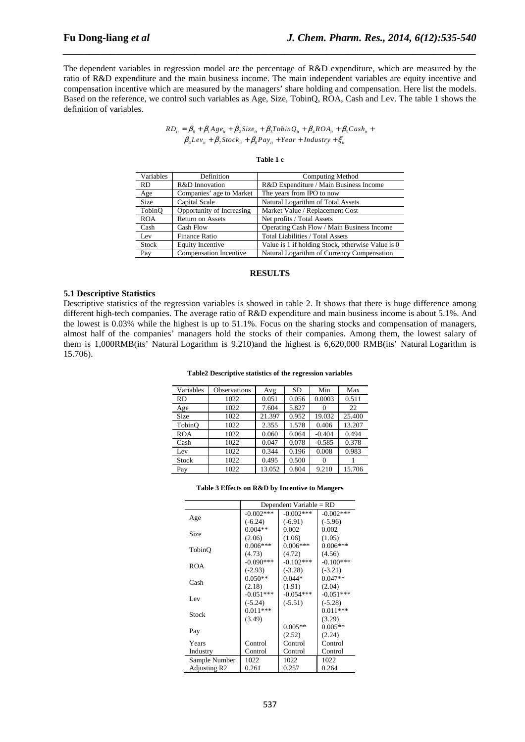The dependent variables in regression model are the percentage of R&D expenditure, which are measured by the ratio of R&D expenditure and the main business income. The main independent variables are equity incentive and compensation incentive which are measured by the managers' share holding and compensation. Here list the models. Based on the reference, we control such variables as Age, Size, TobinQ, ROA, Cash and Lev. The table 1 shows the definition of variables.

*\_\_\_\_\_\_\_\_\_\_\_\_\_\_\_\_\_\_\_\_\_\_\_\_\_\_\_\_\_\_\_\_\_\_\_\_\_\_\_\_\_\_\_\_\_\_\_\_\_\_\_\_\_\_\_\_\_\_\_\_\_\_\_\_\_\_\_\_\_\_\_\_\_\_\_\_\_\_*

 $RD_{ii} = \beta_0 + \beta_1 Age_{ii} + \beta_2 Size_{ii} + \beta_3 TobinQ_{ii} + \beta_4ROA_{ii} + \beta_5Cash_{ii} +$  $\beta_{6}Lev_{ii} + \beta_{7}Stock_{ii} + \beta_{8}Pay_{ii} + Year + Industry + \xi_{ii}$ 

| яnі |  |  |  |
|-----|--|--|--|
|-----|--|--|--|

| Variables   | Definition                | Computing Method                                  |
|-------------|---------------------------|---------------------------------------------------|
| RD.         | R&D Innovation            | R&D Expenditure / Main Business Income            |
| Age         | Companies' age to Market  | The years from IPO to now                         |
| <b>Size</b> | Capital Scale             | Natural Logarithm of Total Assets                 |
| TobinO      | Opportunity of Increasing | Market Value / Replacement Cost                   |
| <b>ROA</b>  | <b>Return on Assets</b>   | Net profits / Total Assets                        |
| Cash        | Cash Flow                 | Operating Cash Flow / Main Business Income        |
| Lev         | <b>Finance Ratio</b>      | Total Liabilities / Total Assets                  |
| Stock       | <b>Equity Incentive</b>   | Value is 1 if holding Stock, otherwise Value is 0 |
| Pay         | Compensation Incentive    | Natural Logarithm of Currency Compensation        |

#### **RESULTS**

#### **5.1 Descriptive Statistics**

Descriptive statistics of the regression variables is showed in table 2. It shows that there is huge difference among different high-tech companies. The average ratio of R&D expenditure and main business income is about 5.1%. And the lowest is 0.03% while the highest is up to 51.1%. Focus on the sharing stocks and compensation of managers, almost half of the companies' managers hold the stocks of their companies. Among them, the lowest salary of them is 1,000RMB(its' Natural Logarithm is 9.210)and the highest is 6,620,000 RMB(its' Natural Logarithm is 15.706).

| Table2 Descriptive statistics of the regression variables |  |  |  |  |
|-----------------------------------------------------------|--|--|--|--|
|-----------------------------------------------------------|--|--|--|--|

| Variables    | <b>Observations</b> | Avg    | <b>SD</b> | Min      | Max    |
|--------------|---------------------|--------|-----------|----------|--------|
| <b>RD</b>    | 1022                | 0.051  | 0.056     | 0.0003   | 0.511  |
| Age          | 1022                | 7.604  | 5.827     |          | 22     |
| Size         | 1022                | 21.397 | 0.952     | 19.032   | 25.400 |
| TobinO       | 1022                | 2.355  | 1.578     | 0.406    | 13.207 |
| <b>ROA</b>   | 1022                | 0.060  | 0.064     | $-0.404$ | 0.494  |
| Cash         | 1022                | 0.047  | 0.078     | $-0.585$ | 0.378  |
| Lev          | 1022                | 0.344  | 0.196     | 0.008    | 0.983  |
| <b>Stock</b> | 1022                | 0.495  | 0.500     |          |        |
| Pay          | 1022                | 13.052 | 0.804     | 9.210    | 15.706 |

#### **Table 3 Effects on R&D by Incentive to Mangers**

|                          | Dependent Variable = RD |              |              |  |
|--------------------------|-------------------------|--------------|--------------|--|
|                          | $-0.002***$             | $-0.002$ *** | $-0.002$ *** |  |
| Age                      | $(-6.24)$               | $(-6.91)$    | $(-5.96)$    |  |
| <b>Size</b>              | $0.004**$               | 0.002        | 0.002        |  |
|                          | (2.06)                  | (1.06)       | (1.05)       |  |
| TobinO                   | $0.006***$              | $0.006***$   | $0.006***$   |  |
|                          | (4.73)                  | (4.72)       | (4.56)       |  |
| ROA                      | $-0.090***$             | $-0.102***$  | $-0.100***$  |  |
|                          | $(-2.93)$               | $(-3.28)$    | $(-3.21)$    |  |
| Cash                     | $0.050**$               | $0.044*$     | $0.047**$    |  |
|                          | (2.18)                  | (1.91)       | (2.04)       |  |
| Lev                      | $-0.051***$             | $-0.054***$  | $-0.051***$  |  |
|                          | $(-5.24)$               | $(-5.51)$    | $(-5.28)$    |  |
| Stock                    | $0.011***$              |              | $0.011***$   |  |
|                          | (3.49)                  |              | (3.29)       |  |
| Pay                      |                         | $0.005**$    | $0.005**$    |  |
|                          |                         | (2.52)       | (2.24)       |  |
| Years                    | Control                 | Control      | Control      |  |
| Industry                 | Control                 | Control      | Control      |  |
| Sample Number            | 1022                    | 1022         | 1022         |  |
| Adjusting R <sub>2</sub> | 0.261                   | 0.257        | 0.264        |  |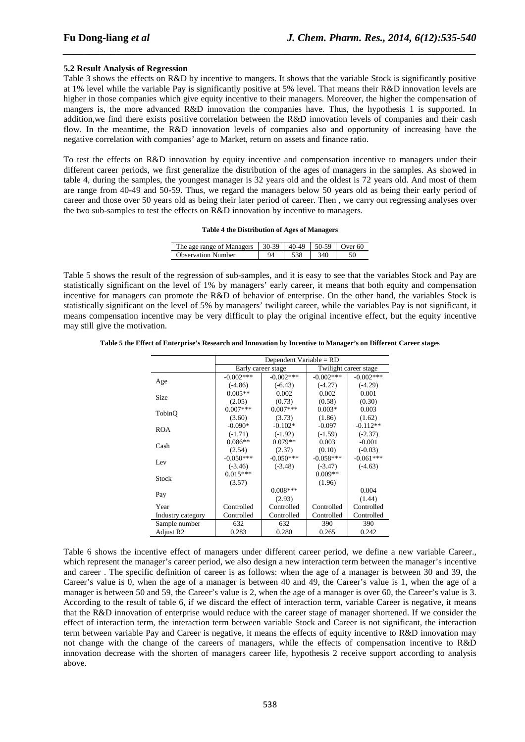## **5.2 Result Analysis of Regression**

Table 3 shows the effects on R&D by incentive to mangers. It shows that the variable Stock is significantly positive at 1% level while the variable Pay is significantly positive at 5% level. That means their R&D innovation levels are higher in those companies which give equity incentive to their managers. Moreover, the higher the compensation of mangers is, the more advanced R&D innovation the companies have. Thus, the hypothesis 1 is supported. In addition,we find there exists positive correlation between the R&D innovation levels of companies and their cash flow. In the meantime, the R&D innovation levels of companies also and opportunity of increasing have the negative correlation with companies' age to Market, return on assets and finance ratio.

*\_\_\_\_\_\_\_\_\_\_\_\_\_\_\_\_\_\_\_\_\_\_\_\_\_\_\_\_\_\_\_\_\_\_\_\_\_\_\_\_\_\_\_\_\_\_\_\_\_\_\_\_\_\_\_\_\_\_\_\_\_\_\_\_\_\_\_\_\_\_\_\_\_\_\_\_\_\_*

To test the effects on R&D innovation by equity incentive and compensation incentive to managers under their different career periods, we first generalize the distribution of the ages of managers in the samples. As showed in table 4, during the samples, the youngest manager is 32 years old and the oldest is 72 years old. And most of them are range from 40-49 and 50-59. Thus, we regard the managers below 50 years old as being their early period of career and those over 50 years old as being their later period of career. Then , we carry out regressing analyses over the two sub-samples to test the effects on R&D innovation by incentive to managers.

#### **Table 4 the Distribution of Ages of Managers**

| The age range of Managers | $30-39$ | 40-49 | 50-59 | )ver 60 |
|---------------------------|---------|-------|-------|---------|
| <b>Observation Number</b> |         |       |       |         |

Table 5 shows the result of the regression of sub-samples, and it is easy to see that the variables Stock and Pay are statistically significant on the level of 1% by managers' early career, it means that both equity and compensation incentive for managers can promote the R&D of behavior of enterprise. On the other hand, the variables Stock is statistically significant on the level of 5% by managers' twilight career, while the variables Pay is not significant, it means compensation incentive may be very difficult to play the original incentive effect, but the equity incentive may still give the motivation.

| Table 5 the Effect of Enterprise's Research and Innovation by Incentive to Manager's on Different Career stages |  |  |
|-----------------------------------------------------------------------------------------------------------------|--|--|
|                                                                                                                 |  |  |

|                   | Dependent Variable = $RD$ |             |                       |              |  |
|-------------------|---------------------------|-------------|-----------------------|--------------|--|
|                   | Early career stage        |             | Twilight career stage |              |  |
|                   | $-0.002***$               | $-0.002***$ | $-0.002***$           | $-0.002$ *** |  |
| Age               | $(-4.86)$                 | $(-6.43)$   | $(-4.27)$             | $(-4.29)$    |  |
| Size              | $0.005**$                 | 0.002       | 0.002                 | 0.001        |  |
|                   | (2.05)                    | (0.73)      | (0.58)                | (0.30)       |  |
| TobinO            | $0.007***$                | $0.007***$  | $0.003*$              | 0.003        |  |
|                   | (3.60)                    | (3.73)      | (1.86)                | (1.62)       |  |
| <b>ROA</b>        | $-0.090*$                 | $-0.102*$   | $-0.097$              | $-0.112**$   |  |
|                   | $(-1.71)$                 | $(-1.92)$   | $(-1.59)$             | $(-2.37)$    |  |
| Cash              | $0.086**$                 | $0.079**$   | 0.003                 | $-0.001$     |  |
|                   | (2.54)                    | (2.37)      | (0.10)                | $(-0.03)$    |  |
| Lev               | $-0.050***$               | $-0.050***$ | $-0.058***$           | $-0.061***$  |  |
|                   | $(-3.46)$                 | $(-3.48)$   | $(-3.47)$             | $(-4.63)$    |  |
| Stock             | $0.015***$                |             | $0.009**$             |              |  |
|                   | (3.57)                    |             | (1.96)                |              |  |
|                   |                           | $0.008***$  |                       | 0.004        |  |
| Pay               |                           | (2.93)      |                       | (1.44)       |  |
| Year              | Controlled                | Controlled  | Controlled            | Controlled   |  |
| Industry category | Controlled                | Controlled  | Controlled            | Controlled   |  |
| Sample number     | 632                       | 632         | 390                   | 390          |  |
| Adjust R2         | 0.283                     | 0.280       | 0.265                 | 0.242        |  |

Table 6 shows the incentive effect of managers under different career period, we define a new variable Career., which represent the manager's career period, we also design a new interaction term between the manager's incentive and career . The specific definition of career is as follows: when the age of a manager is between 30 and 39, the Career's value is 0, when the age of a manager is between 40 and 49, the Career's value is 1, when the age of a manager is between 50 and 59, the Career's value is 2, when the age of a manager is over 60, the Career's value is 3. According to the result of table 6, if we discard the effect of interaction term, variable Career is negative, it means that the R&D innovation of enterprise would reduce with the career stage of manager shortened. If we consider the effect of interaction term, the interaction term between variable Stock and Career is not significant, the interaction term between variable Pay and Career is negative, it means the effects of equity incentive to R&D innovation may not change with the change of the careers of managers, while the effects of compensation incentive to R&D innovation decrease with the shorten of managers career life, hypothesis 2 receive support according to analysis above.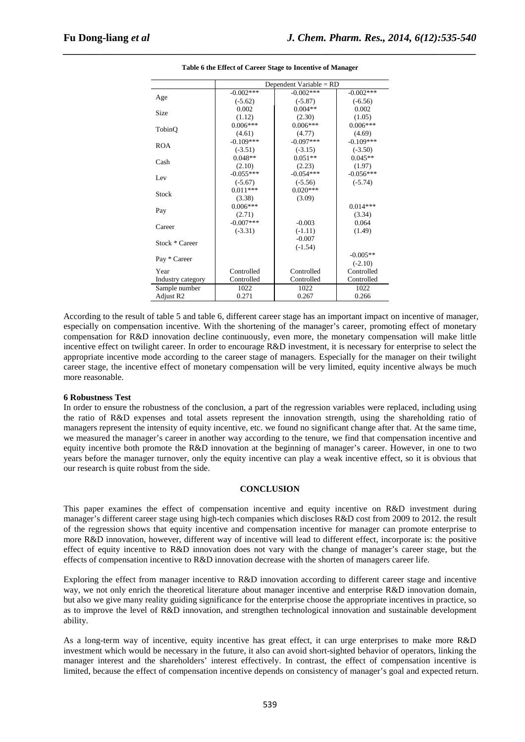|                   | Dependent Variable = $RD$ |             |             |  |
|-------------------|---------------------------|-------------|-------------|--|
|                   | $-0.002***$               | $-0.002***$ | $-0.002***$ |  |
| Age               | $(-5.62)$                 | $(-5.87)$   | $(-6.56)$   |  |
| Size              | 0.002                     | $0.004**$   | 0.002       |  |
|                   | (1.12)                    | (2.30)      | (1.05)      |  |
|                   | $0.006***$                | $0.006***$  | $0.006***$  |  |
| TobinQ            | (4.61)                    | (4.77)      | (4.69)      |  |
| <b>ROA</b>        | $-0.109***$               | $-0.097***$ | $-0.109***$ |  |
|                   | $(-3.51)$                 | $(-3.15)$   | $(-3.50)$   |  |
| Cash              | $0.048**$                 | $0.051**$   | $0.045**$   |  |
|                   | (2.10)                    | (2.23)      | (1.97)      |  |
| Lev               | $-0.055***$               | $-0.054***$ | $-0.056***$ |  |
|                   | $(-5.67)$                 | $(-5.56)$   | $(-5.74)$   |  |
| Stock             | $0.011***$                | $0.020***$  |             |  |
|                   | (3.38)                    | (3.09)      |             |  |
|                   | $0.006***$                |             | $0.014***$  |  |
| Pay               | (2.71)                    |             | (3.34)      |  |
| Career            | $-0.007***$               | $-0.003$    | 0.064       |  |
|                   | $(-3.31)$                 | $(-1.11)$   | (1.49)      |  |
| Stock * Career    |                           | $-0.007$    |             |  |
|                   |                           | $(-1.54)$   |             |  |
| Pay * Career      |                           |             | $-0.005**$  |  |
|                   |                           |             | $(-2.10)$   |  |
| Year              | Controlled                | Controlled  | Controlled  |  |
| Industry category | Controlled                | Controlled  | Controlled  |  |
| Sample number     | 1022                      | 1022        | 1022        |  |
| Adjust R2         | 0.271                     | 0.267       | 0.266       |  |

*\_\_\_\_\_\_\_\_\_\_\_\_\_\_\_\_\_\_\_\_\_\_\_\_\_\_\_\_\_\_\_\_\_\_\_\_\_\_\_\_\_\_\_\_\_\_\_\_\_\_\_\_\_\_\_\_\_\_\_\_\_\_\_\_\_\_\_\_\_\_\_\_\_\_\_\_\_\_* **Table 6 the Effect of Career Stage to Incentive of Manager** 

According to the result of table 5 and table 6, different career stage has an important impact on incentive of manager, especially on compensation incentive. With the shortening of the manager's career, promoting effect of monetary compensation for R&D innovation decline continuously, even more, the monetary compensation will make little incentive effect on twilight career. In order to encourage R&D investment, it is necessary for enterprise to select the appropriate incentive mode according to the career stage of managers. Especially for the manager on their twilight career stage, the incentive effect of monetary compensation will be very limited, equity incentive always be much more reasonable.

#### **6 Robustness Test**

In order to ensure the robustness of the conclusion, a part of the regression variables were replaced, including using the ratio of R&D expenses and total assets represent the innovation strength, using the shareholding ratio of managers represent the intensity of equity incentive, etc. we found no significant change after that. At the same time, we measured the manager's career in another way according to the tenure, we find that compensation incentive and equity incentive both promote the R&D innovation at the beginning of manager's career. However, in one to two years before the manager turnover, only the equity incentive can play a weak incentive effect, so it is obvious that our research is quite robust from the side.

#### **CONCLUSION**

This paper examines the effect of compensation incentive and equity incentive on R&D investment during manager's different career stage using high-tech companies which discloses R&D cost from 2009 to 2012. the result of the regression shows that equity incentive and compensation incentive for manager can promote enterprise to more R&D innovation, however, different way of incentive will lead to different effect, incorporate is: the positive effect of equity incentive to R&D innovation does not vary with the change of manager's career stage, but the effects of compensation incentive to R&D innovation decrease with the shorten of managers career life.

Exploring the effect from manager incentive to R&D innovation according to different career stage and incentive way, we not only enrich the theoretical literature about manager incentive and enterprise R&D innovation domain, but also we give many reality guiding significance for the enterprise choose the appropriate incentives in practice, so as to improve the level of R&D innovation, and strengthen technological innovation and sustainable development ability.

As a long-term way of incentive, equity incentive has great effect, it can urge enterprises to make more R&D investment which would be necessary in the future, it also can avoid short-sighted behavior of operators, linking the manager interest and the shareholders' interest effectively. In contrast, the effect of compensation incentive is limited, because the effect of compensation incentive depends on consistency of manager's goal and expected return.